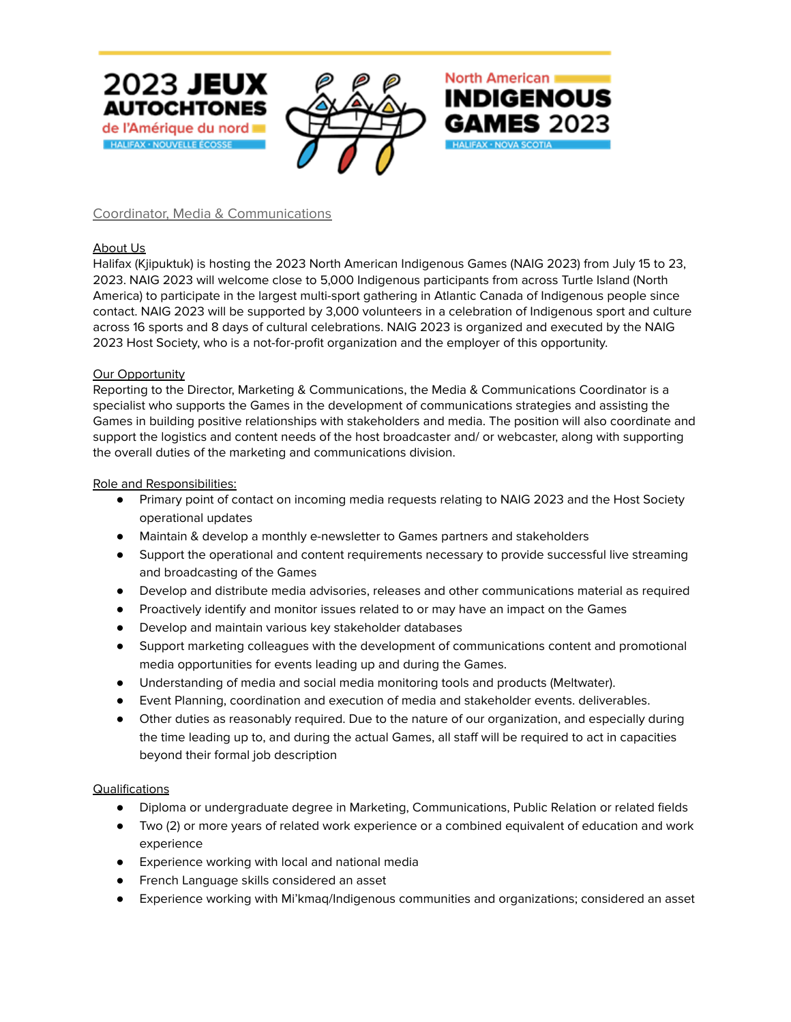

Coordinator, Media & Communications

**HALIFAX · NOUVELLE ÉCOSSE** 

## About Us

Halifax (Kjipuktuk) is hosting the 2023 North American Indigenous Games (NAIG 2023) from July 15 to 23, 2023. NAIG 2023 will welcome close to 5,000 Indigenous participants from across Turtle Island (North America) to participate in the largest multi-sport gathering in Atlantic Canada of Indigenous people since contact. NAIG 2023 will be supported by 3,000 volunteers in a celebration of Indigenous sport and culture across 16 sports and 8 days of cultural celebrations. NAIG 2023 is organized and executed by the NAIG 2023 Host Society, who is a not-for-profit organization and the employer of this opportunity.

North American

HALIFAX - NOVA SCOTIA

**INDIGENOUS** 

**GAMES** 2023

### Our Opportunity

Reporting to the Director, Marketing & Communications, the Media & Communications Coordinator is a specialist who supports the Games in the development of communications strategies and assisting the Games in building positive relationships with stakeholders and media. The position will also coordinate and support the logistics and content needs of the host broadcaster and/ or webcaster, along with supporting the overall duties of the marketing and communications division.

### Role and Responsibilities:

- Primary point of contact on incoming media requests relating to NAIG 2023 and the Host Society operational updates
- Maintain & develop a monthly e-newsletter to Games partners and stakeholders
- Support the operational and content requirements necessary to provide successful live streaming and broadcasting of the Games
- Develop and distribute media advisories, releases and other communications material as required
- Proactively identify and monitor issues related to or may have an impact on the Games
- Develop and maintain various key stakeholder databases
- Support marketing colleagues with the development of communications content and promotional media opportunities for events leading up and during the Games.
- Understanding of media and social media monitoring tools and products (Meltwater).
- Event Planning, coordination and execution of media and stakeholder events. deliverables.
- Other duties as reasonably required. Due to the nature of our organization, and especially during the time leading up to, and during the actual Games, all staff will be required to act in capacities beyond their formal job description

### **Qualifications**

- Diploma or undergraduate degree in Marketing, Communications, Public Relation or related fields
- Two (2) or more years of related work experience or a combined equivalent of education and work experience
- Experience working with local and national media
- French Language skills considered an asset
- Experience working with Mi'kmaq/Indigenous communities and organizations; considered an asset